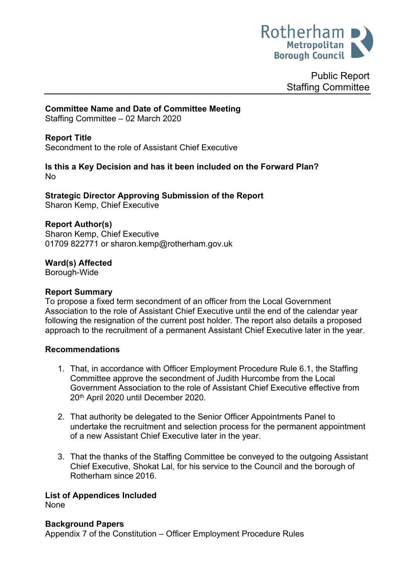

Public Report Staffing Committee

#### **Committee Name and Date of Committee Meeting**

Staffing Committee – 02 March 2020

### **Report Title**

<span id="page-0-0"></span>Secondment to the role of Assistant Chief Executive

#### **Is this a Key Decision and has it been included on the Forward Plan?** No

**Strategic Director Approving Submission of the Report** Sharon Kemp, Chief Executive

### **Report Author(s)**

<span id="page-0-1"></span>Sharon Kemp, Chief Executive 01709 822771 or sharon.kemp@rotherham.gov.uk

### **Ward(s) Affected**

Borough-Wide

#### **Report Summary**

To propose a fixed term secondment of an officer from the Local Government Association to the role of Assistant Chief Executive until the end of the calendar year following the resignation of the current post holder. The report also details a proposed approach to the recruitment of a permanent Assistant Chief Executive later in the year.

#### **Recommendations**

- 1. That, in accordance with Officer Employment Procedure Rule 6.1, the Staffing Committee approve the secondment of Judith Hurcombe from the Local Government Association to the role of Assistant Chief Executive effective from 20th April 2020 until December 2020.
- 2. That authority be delegated to the Senior Officer Appointments Panel to undertake the recruitment and selection process for the permanent appointment of a new Assistant Chief Executive later in the year.
- 3. That the thanks of the Staffing Committee be conveyed to the outgoing Assistant Chief Executive, Shokat Lal, for his service to the Council and the borough of Rotherham since 2016.

**List of Appendices Included**

None

#### **Background Papers**

Appendix 7 of the Constitution – Officer Employment Procedure Rules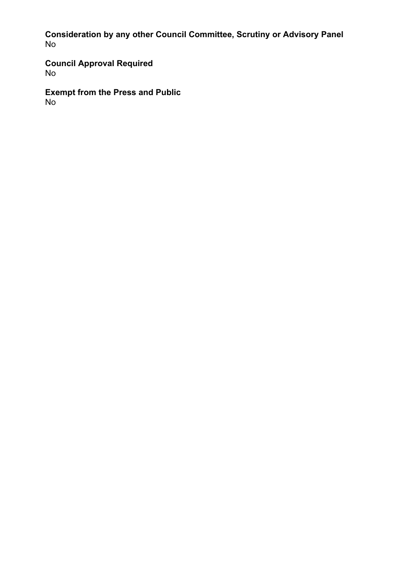**Consideration by any other Council Committee, Scrutiny or Advisory Panel** No

**Council Approval Required** No

**Exempt from the Press and Public** No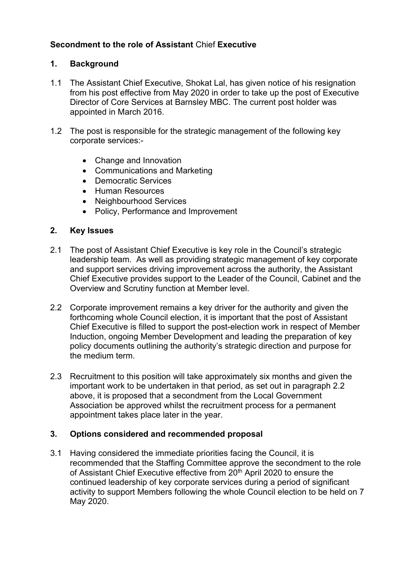# **[Secondment](#page-0-0) to the role of Assistant** Chief **Executive**

## **1. Background**

- 1.1 The Assistant Chief Executive, Shokat Lal, has given notice of his resignation from his post effective from May 2020 in order to take up the post of Executive Director of Core Services at Barnsley MBC. The current post holder was appointed in March 2016.
- 1.2 The post is responsible for the strategic management of the following key corporate services:-
	- Change and Innovation
	- Communications and Marketing
	- Democratic Services
	- Human Resources
	- Neighbourhood Services
	- Policy, Performance and Improvement

## **2. Key Issues**

- 2.1 The post of Assistant Chief Executive is key role in the Council's strategic leadership team. As well as providing strategic management of key corporate and support services driving improvement across the authority, the Assistant Chief Executive provides support to the Leader of the Council, Cabinet and the Overview and Scrutiny function at Member level.
- 2.2 Corporate improvement remains a key driver for the authority and given the forthcoming whole Council election, it is important that the post of Assistant Chief Executive is filled to support the post-election work in respect of Member Induction, ongoing Member Development and leading the preparation of key policy documents outlining the authority's strategic direction and purpose for the medium term.
- 2.3 Recruitment to this position will take approximately six months and given the important work to be undertaken in that period, as set out in paragraph 2.2 above, it is proposed that a secondment from the Local Government Association be approved whilst the recruitment process for a permanent appointment takes place later in the year.

# **3. Options considered and recommended proposal**

3.1 Having considered the immediate priorities facing the Council, it is recommended that the Staffing Committee approve the secondment to the role of Assistant Chief Executive effective from 20<sup>th</sup> April 2020 to ensure the continued leadership of key corporate services during a period of significant activity to support Members following the whole Council election to be held on 7 May 2020.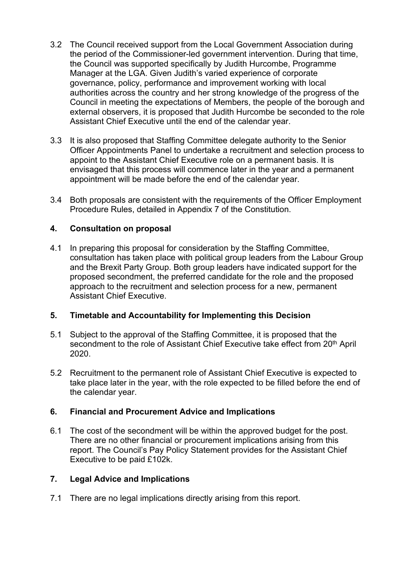- 3.2 The Council received support from the Local Government Association during the period of the Commissioner-led government intervention. During that time, the Council was supported specifically by Judith Hurcombe, Programme Manager at the LGA. Given Judith's varied experience of corporate governance, policy, performance and improvement working with local authorities across the country and her strong knowledge of the progress of the Council in meeting the expectations of Members, the people of the borough and external observers, it is proposed that Judith Hurcombe be seconded to the role Assistant Chief Executive until the end of the calendar year.
- 3.3 It is also proposed that Staffing Committee delegate authority to the Senior Officer Appointments Panel to undertake a recruitment and selection process to appoint to the Assistant Chief Executive role on a permanent basis. It is envisaged that this process will commence later in the year and a permanent appointment will be made before the end of the calendar year.
- 3.4 Both proposals are consistent with the requirements of the Officer Employment Procedure Rules, detailed in Appendix 7 of the Constitution.

## **4. Consultation on proposal**

4.1 In preparing this proposal for consideration by the Staffing Committee, consultation has taken place with political group leaders from the Labour Group and the Brexit Party Group. Both group leaders have indicated support for the proposed secondment, the preferred candidate for the role and the proposed approach to the recruitment and selection process for a new, permanent Assistant Chief Executive.

### **5. Timetable and Accountability for Implementing this Decision**

- 5.1 Subject to the approval of the Staffing Committee, it is proposed that the secondment to the role of Assistant Chief Executive take effect from 20<sup>th</sup> April 2020.
- 5.2 Recruitment to the permanent role of Assistant Chief Executive is expected to take place later in the year, with the role expected to be filled before the end of the calendar year.

### **6. Financial and Procurement Advice and Implications**

6.1 The cost of the secondment will be within the approved budget for the post. There are no other financial or procurement implications arising from this report. The Council's Pay Policy Statement provides for the Assistant Chief Executive to be paid £102k.

# **7. Legal Advice and Implications**

7.1 There are no legal implications directly arising from this report.